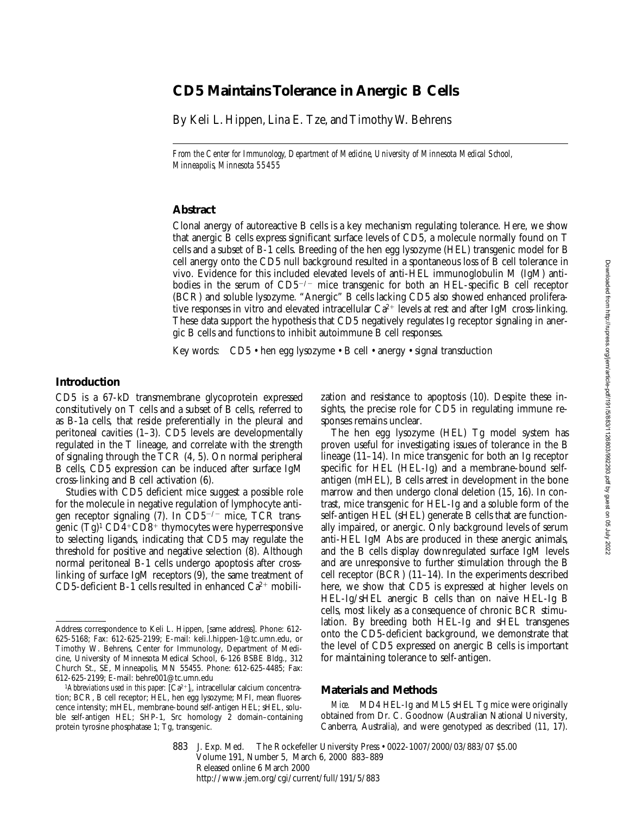# **CD5 Maintains Tolerance in Anergic B Cells**

By Keli L. Hippen, Lina E. Tze, and Timothy W. Behrens

*From the Center for Immunology, Department of Medicine, University of Minnesota Medical School, Minneapolis, Minnesota 55455*

## **Abstract**

Clonal anergy of autoreactive B cells is a key mechanism regulating tolerance. Here, we show that anergic B cells express significant surface levels of CD5, a molecule normally found on T cells and a subset of B-1 cells. Breeding of the hen egg lysozyme (HEL) transgenic model for B cell anergy onto the CD5 null background resulted in a spontaneous loss of B cell tolerance in vivo. Evidence for this included elevated levels of anti-HEL immunoglobulin M (IgM) antibodies in the serum of  $CD5^{-/-}$  mice transgenic for both an HEL-specific B cell receptor (BCR) and soluble lysozyme. "Anergic" B cells lacking CD5 also showed enhanced proliferative responses in vitro and elevated intracellular  $Ca^{2+}$  levels at rest and after IgM cross-linking. These data support the hypothesis that CD5 negatively regulates Ig receptor signaling in anergic B cells and functions to inhibit autoimmune B cell responses.

Key words: CD5 • hen egg lysozyme • B cell • anergy • signal transduction

## **Introduction**

CD5 is a 67-kD transmembrane glycoprotein expressed constitutively on T cells and a subset of B cells, referred to as B-1a cells, that reside preferentially in the pleural and peritoneal cavities (1–3). CD5 levels are developmentally regulated in the T lineage, and correlate with the strength of signaling through the TCR (4, 5). On normal peripheral B cells, CD5 expression can be induced after surface IgM cross-linking and B cell activation (6).

Studies with CD5 deficient mice suggest a possible role for the molecule in negative regulation of lymphocyte antigen receptor signaling (7). In CD5<sup>-/-</sup> mice, TCR transgenic  $(Tg)^1 \text{CD}4^+ \text{CD}8^+$  thymocytes were hyperresponsive to selecting ligands, indicating that CD5 may regulate the threshold for positive and negative selection (8). Although normal peritoneal B-1 cells undergo apoptosis after crosslinking of surface IgM receptors (9), the same treatment of CD5-deficient B-1 cells resulted in enhanced  $Ca^{2+}$  mobilization and resistance to apoptosis (10). Despite these insights, the precise role for CD5 in regulating immune responses remains unclear.

The hen egg lysozyme (HEL) Tg model system has proven useful for investigating issues of tolerance in the B lineage (11–14). In mice transgenic for both an Ig receptor specific for HEL (HEL-Ig) and a membrane-bound selfantigen (mHEL), B cells arrest in development in the bone marrow and then undergo clonal deletion (15, 16). In contrast, mice transgenic for HEL-Ig and a soluble form of the self-antigen HEL (sHEL) generate B cells that are functionally impaired, or anergic. Only background levels of serum anti-HEL IgM Abs are produced in these anergic animals, and the B cells display downregulated surface IgM levels and are unresponsive to further stimulation through the B cell receptor (BCR) (11–14). In the experiments described here, we show that CD5 is expressed at higher levels on HEL-Ig/sHEL anergic B cells than on naive HEL-Ig B cells, most likely as a consequence of chronic BCR stimulation. By breeding both HEL-Ig and sHEL transgenes onto the CD5-deficient background, we demonstrate that the level of CD5 expressed on anergic B cells is important for maintaining tolerance to self-antigen.

# **Materials and Methods**

*Mice.* MD4 HEL-Ig and ML5 sHEL Tg mice were originally obtained from Dr. C. Goodnow (Australian National University, Canberra, Australia), and were genotyped as described (11, 17).

883 J. Exp. Med. © The Rockefeller University Press • 0022-1007/2000/03/883/07 \$5.00 Volume 191, Number 5, March 6, 2000 883–889 Released online 6 March 2000 http://www.jem.org/cgi/current/full/191/5/883

Address correspondence to Keli L. Hippen, [same address]. Phone: 612- 625-5168; Fax: 612-625-2199; E-mail: keli.l.hippen-1@tc.umn.edu, or Timothy W. Behrens, Center for Immunology, Department of Medicine, University of Minnesota Medical School, 6-126 BSBE Bldg., 312 Church St., SE, Minneapolis, MN 55455. Phone: 612-625-4485; Fax: 612-625-2199; E-mail: behre001@tc.umn.edu

<sup>&</sup>lt;sup>1</sup>Abbreviations used in this paper:  $[Ca^{2+}]_i$ , intracellular calcium concentration; BCR, B cell receptor; HEL, hen egg lysozyme; MFI, mean fluorescence intensity; mHEL, membrane-bound self-antigen HEL; sHEL, soluble self-antigen HEL; SHP-1, Src homology 2 domain–containing protein tyrosine phosphatase 1; Tg, transgenic.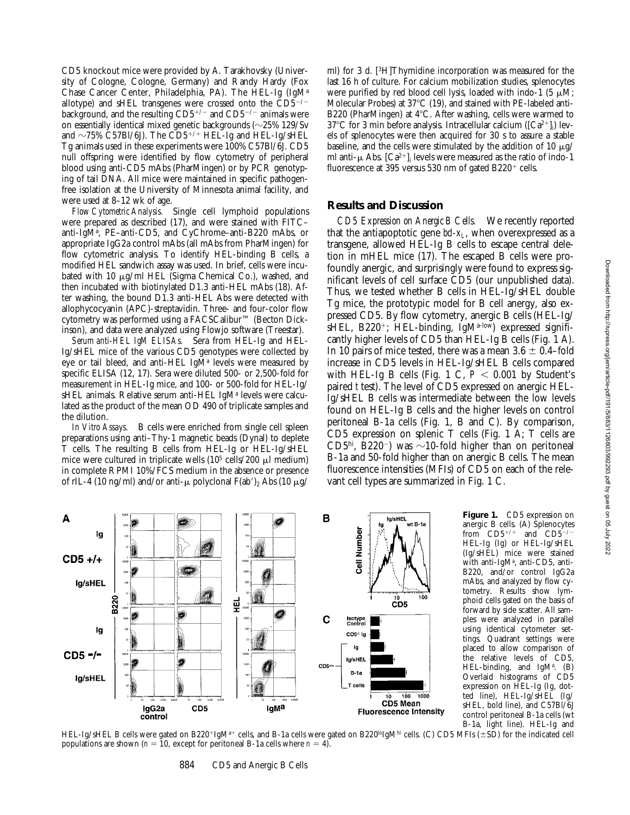CD5 knockout mice were provided by A. Tarakhovsky (University of Cologne, Cologne, Germany) and Randy Hardy (Fox Chase Cancer Center, Philadelphia, PA). The HEL-Ig (IgMa allotype) and sHEL transgenes were crossed onto the  $\text{CD}5^{-/-}$ background, and the resulting  $CD5^{+/}$  and  $CD5^{-/-}$  animals were on essentially identical mixed genetic backgrounds  $(\sim 25\%~129/\text{Sv})$ and  $\sim$ 75% C57Bl/6J). The CD5<sup>+/+</sup> HEL-Ig and HEL-Ig/sHEL Tg animals used in these experiments were 100% C57Bl/6J. CD5 null offspring were identified by flow cytometry of peripheral blood using anti-CD5 mAbs (PharMingen) or by PCR genotyping of tail DNA. All mice were maintained in specific pathogenfree isolation at the University of Minnesota animal facility, and were used at 8–12 wk of age.

*Flow Cytometric Analysis.* Single cell lymphoid populations were prepared as described (17), and were stained with FITC– anti-IgMa , PE–anti-CD5, and CyChrome–anti-B220 mAbs, or appropriate IgG2a control mAbs (all mAbs from PharMingen) for flow cytometric analysis. To identify HEL-binding B cells, a modified HEL sandwich assay was used. In brief, cells were incubated with 10  $\mu$ g/ml HEL (Sigma Chemical Co.), washed, and then incubated with biotinylated D1.3 anti-HEL mAbs (18). After washing, the bound D1.3 anti-HEL Abs were detected with allophycocyanin (APC)-streptavidin. Three- and four-color flow cytometry was performed using a FACSCalibur™ (Becton Dickinson), and data were analyzed using Flowjo software (Treestar).

*Serum anti-HEL IgM ELISAs.* Sera from HEL-Ig and HEL-Ig/sHEL mice of the various CD5 genotypes were collected by eye or tail bleed, and anti-HEL IgMª levels were measured by specific ELISA (12, 17). Sera were diluted 500- or 2,500-fold for measurement in HEL-Ig mice, and 100- or 500-fold for HEL-Ig/ sHEL animals. Relative serum anti-HEL IgMª levels were calculated as the product of the mean OD 490 of triplicate samples and the dilution.

*In Vitro Assays.* B cells were enriched from single cell spleen preparations using anti–Thy-1 magnetic beads (Dynal) to deplete T cells. The resulting B cells from HEL-Ig or HEL-Ig/sHEL mice were cultured in triplicate wells (10<sup>5</sup> cells/200  $\mu$ l medium) in complete RPMI 10%/FCS medium in the absence or presence of rIL-4 (10 ng/ml) and/or anti- $\mu$  polyclonal F(ab')<sub>2</sub> Abs (10  $\mu$ g/

ml) for 3 d. [3H]Thymidine incorporation was measured for the last 16 h of culture. For calcium mobilization studies, splenocytes were purified by red blood cell lysis, loaded with indo-1 (5  $\mu$ M; Molecular Probes) at  $37^{\circ}$ C (19), and stained with PE-labeled anti-B220 (PharMingen) at  $4^{\circ}$ C. After washing, cells were warmed to  $37^{\circ}$ C for 3 min before analysis. Intracellular calcium ([Ca<sup>2+</sup>]<sub>i</sub>) levels of splenocytes were then acquired for 30 s to assure a stable baseline, and the cells were stimulated by the addition of 10  $\mu$ g/ ml anti- $\mu$  Abs. [Ca<sup>2+</sup>]<sub>i</sub> levels were measured as the ratio of indo-1 fluorescence at 395 versus 530 nm of gated B220<sup>+</sup> cells.

### **Results and Discussion**

*CD5 Expression on Anergic B Cells.* We recently reported that the antiapoptotic gene  $bd-x_L$ , when overexpressed as a transgene, allowed HEL-Ig B cells to escape central deletion in mHEL mice (17). The escaped B cells were profoundly anergic, and surprisingly were found to express significant levels of cell surface CD5 (our unpublished data). Thus, we tested whether B cells in HEL-Ig/sHEL double Tg mice, the prototypic model for B cell anergy, also expressed CD5. By flow cytometry, anergic B cells (HEL-Ig/ sHEL, B220<sup>+</sup>; HEL-binding, IgM<sup>a-low</sup>) expressed significantly higher levels of CD5 than HEL-Ig B cells (Fig. 1 A). In 10 pairs of mice tested, there was a mean  $3.6 \pm 0.4$ –fold increase in CD5 levels in HEL-Ig/sHEL B cells compared with HEL-Ig B cells (Fig. 1 C,  $P < 0.001$  by Student's paired *t* test). The level of CD5 expressed on anergic HEL-Ig/sHEL B cells was intermediate between the low levels found on HEL-Ig B cells and the higher levels on control peritoneal B-1a cells (Fig. 1, B and C). By comparison, CD5 expression on splenic T cells (Fig. 1 A; T cells are CD5<sup>hi</sup>, B220<sup>-</sup>) was  $\sim$ 10-fold higher than on peritoneal B-1a and 50-fold higher than on anergic B cells. The mean fluorescence intensities (MFIs) of CD5 on each of the relevant cell types are summarized in Fig. 1 C.



**Figure 1.** CD5 expression on anergic B cells. (A) Splenocytes from  $CD5^{+/+}$  and  $CD5^{-/}$ HEL-Ig (Ig) or HEL-Ig/sHEL (Ig/sHEL) mice were stained with anti-IgM<sup>a</sup>, anti-CD5, anti-B220, and/or control IgG2a mAbs, and analyzed by flow cytometry. Results show lymphoid cells gated on the basis of forward by side scatter. All samples were analyzed in parallel using identical cytometer settings. Quadrant settings were placed to allow comparison of the relative levels of CD5, HEL-binding, and  $IgM^a$ . (B) Overlaid histograms of CD5 expression on HEL-Ig (Ig, dotted line), HEL-Ig/sHEL (Ig/ sHEL, bold line), and C57Bl/6J control peritoneal B-1a cells (wt B-1a, light line). HEL-Ig and

HEL-Ig/sHEL B cells were gated on B220+IgM<sup>a+</sup> cells, and B-1a cells were gated on B220<sup>lo</sup>IgM<sup>hi</sup> cells. (C) CD5 MFIs (±SD) for the indicated cell populations are shown ( $n = 10$ , except for peritoneal B-1a cells where  $n = 4$ ).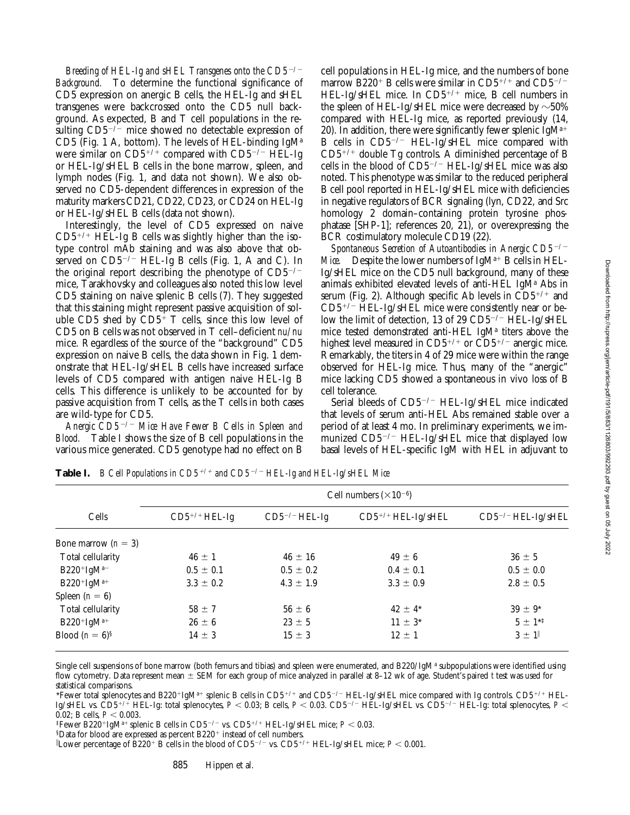*Breeding of HEL-Ig and sHEL Transgenes onto the CD5<sup>-/-</sup> Background.* To determine the functional significance of CD5 expression on anergic B cells, the HEL-Ig and sHEL transgenes were backcrossed onto the CD5 null background. As expected, B and T cell populations in the resulting  $CD5^{-/-}$  mice showed no detectable expression of CD5 (Fig. 1 A, bottom). The levels of HEL-binding IgM<sup>a</sup> were similar on  $CD5^{+/+}$  compared with  $CD5^{-/-}$  HEL-Ig or HEL-Ig/sHEL B cells in the bone marrow, spleen, and lymph nodes (Fig. 1, and data not shown). We also observed no CD5-dependent differences in expression of the maturity markers CD21, CD22, CD23, or CD24 on HEL-Ig or HEL-Ig/sHEL B cells (data not shown).

Interestingly, the level of CD5 expressed on naive  $CD5^{+/+}$  HEL-Ig B cells was slightly higher than the isotype control mAb staining and was also above that observed on  $CD5^{-/-}$  HEL-Ig B cells (Fig. 1, A and C). In the original report describing the phenotype of  $CD5^{-/-}$ mice, Tarakhovsky and colleagues also noted this low level CD5 staining on naive splenic B cells (7). They suggested that this staining might represent passive acquisition of soluble CD5 shed by  $CD5^+$  T cells, since this low level of CD5 on B cells was not observed in T cell–deficient *nu/nu* mice. Regardless of the source of the "background" CD5 expression on naive B cells, the data shown in Fig. 1 demonstrate that HEL-Ig/sHEL B cells have increased surface levels of CD5 compared with antigen naive HEL-Ig B cells. This difference is unlikely to be accounted for by passive acquisition from T cells, as the T cells in both cases are wild-type for CD5.

*Anergic CD5*2*/*2 *Mice Have Fewer B Cells in Spleen and Blood.* Table I shows the size of B cell populations in the various mice generated. CD5 genotype had no effect on B

cell populations in HEL-Ig mice, and the numbers of bone marrow B220<sup>+</sup> B cells were similar in CD5<sup>+/+</sup> and CD5<sup>-/-</sup> HEL-Ig/sHEL mice. In  $CD5^{+/+}$  mice, B cell numbers in the spleen of HEL-Ig/sHEL mice were decreased by  $\sim$  50% compared with HEL-Ig mice, as reported previously (14, 20). In addition, there were significantly fewer splenic  $IgM^{a+}$ B cells in  $CD5^{-/-}$  HEL-Ig/sHEL mice compared with  $CD5^{+/+}$  double Tg controls. A diminished percentage of B cells in the blood of  $CD5^{-/-}$  HEL-Ig/sHEL mice was also noted. This phenotype was similar to the reduced peripheral B cell pool reported in HEL-Ig/sHEL mice with deficiencies in negative regulators of BCR signaling (lyn, CD22, and Src homology 2 domain–containing protein tyrosine phosphatase [SHP-1]; references 20, 21), or overexpressing the BCR costimulatory molecule CD19 (22).

*Spontaneous Secretion of Autoantibodies in Anergic CD5<sup>-/-</sup> Mice.* Despite the lower numbers of  $IgM^{a+}B$  cells in HEL-Ig/sHEL mice on the CD5 null background, many of these animals exhibited elevated levels of anti-HEL IgM<sup>a</sup> Abs in serum (Fig. 2). Although specific Ab levels in  $CD5^{+/+}$  and  $CD5^{+/}$  HEL-Ig/sHEL mice were consistently near or below the limit of detection, 13 of 29  $CD5^{-/-}$  HEL-Ig/sHEL mice tested demonstrated anti-HEL IgM<sup>a</sup> titers above the highest level measured in  $CD5^{+/+}$  or  $CD5^{+/-}$  anergic mice. Remarkably, the titers in 4 of 29 mice were within the range observed for HEL-Ig mice. Thus, many of the "anergic" mice lacking CD5 showed a spontaneous in vivo loss of B cell tolerance.

Serial bleeds of  $CD5^{-/-}$  HEL-Ig/sHEL mice indicated that levels of serum anti-HEL Abs remained stable over a period of at least 4 mo. In preliminary experiments, we immunized  $CD5^{-/-}$  HEL-Ig/sHEL mice that displayed low basal levels of HEL-specific IgM with HEL in adjuvant to

| Cells                 | Cell numbers $(\times 10^{-6})$ |                    |                         |                                |
|-----------------------|---------------------------------|--------------------|-------------------------|--------------------------------|
|                       | $CD5^{+/+}$ HEL-Ig              | $CD5^{-/-}$ HEL-Ig | $CD5^{+/+}$ HEL-Ig/sHEL | CD5 <sup>-/-</sup> HEL-Ig/sHEL |
| Bone marrow $(n = 3)$ |                                 |                    |                         |                                |
| Total cellularity     | $46 \pm 1$                      | $46 \pm 16$        | $49 \pm 6$              | $36 \pm 5$                     |
| $B220+IgM^{a-}$       | $0.5 \pm 0.1$                   | $0.5 \pm 0.2$      | $0.4 \pm 0.1$           | $0.5 \pm 0.0$                  |
| $B220+IgM^{a+}$       | $3.3 \pm 0.2$                   | $4.3 \pm 1.9$      | $3.3 \pm 0.9$           | $2.8 \pm 0.5$                  |
| Spleen $(n = 6)$      |                                 |                    |                         |                                |
| Total cellularity     | $58 \pm 7$                      | $56 \pm 6$         | $42 \pm 4^*$            | $39 \pm 9^*$                   |
| $B220+IgM^{a+}$       | $26 \pm 6$                      | $23 \pm 5$         | $11 \pm 3^*$            | $5 \pm 1^{*1}$                 |
| Blood $(n = 6)^{8}$   | $14 \pm 3$                      | $15 \pm 3$         | $12 \pm 1$              | $3 \pm 1$                      |

**Table I.** *B Cell Populations in CD5<sup>+/+</sup> and CD5<sup>-/-</sup> HEL-Ig and HEL-Ig/sHEL Mice* 

Single cell suspensions of bone marrow (both femurs and tibias) and spleen were enumerated, and B220/IgM<sup>a</sup> subpopulations were identified using flow cytometry. Data represent mean  $\pm$  SEM for each group of mice analyzed in parallel at 8–12 wk of age. Student's paired *t* test was used for statistical comparisons.

\*Fewer total splenocytes and B220+IgMa+ splenic B cells in CD5<sup>+/+</sup> and CD5<sup>-/-</sup> HEL-Ig/sHEL mice compared with Ig controls. CD5<sup>+/+</sup> HEL-Ig/sHEL vs. CD5<sup>+/+</sup> HEL-Ig: total splenocytes,  $P < 0.03$ ; B cells,  $P < 0.03$ . CD5<sup>-/-</sup> HEL-Ig/sHEL vs. CD5<sup>-/-</sup> HEL-Ig: total splenocytes,  $P <$ 0.02; B cells,  $P < 0.003$ .

<sup>‡</sup>Fewer B220<sup>+</sup>IgM<sup>a+</sup> splenic B cells in CD5<sup>-/-</sup> vs. CD5<sup>+/+</sup> HEL-Ig/sHEL mice; *P* < 0.03.

 $$D$ ata for blood are expressed as percent B220<sup>+</sup> instead of cell numbers.

 $\parallel$ Lower percentage of B220+ B cells in the blood of CD5<sup>-/-</sup> vs. CD5+/+ HEL-Ig/sHEL mice;  $P$  < 0.001.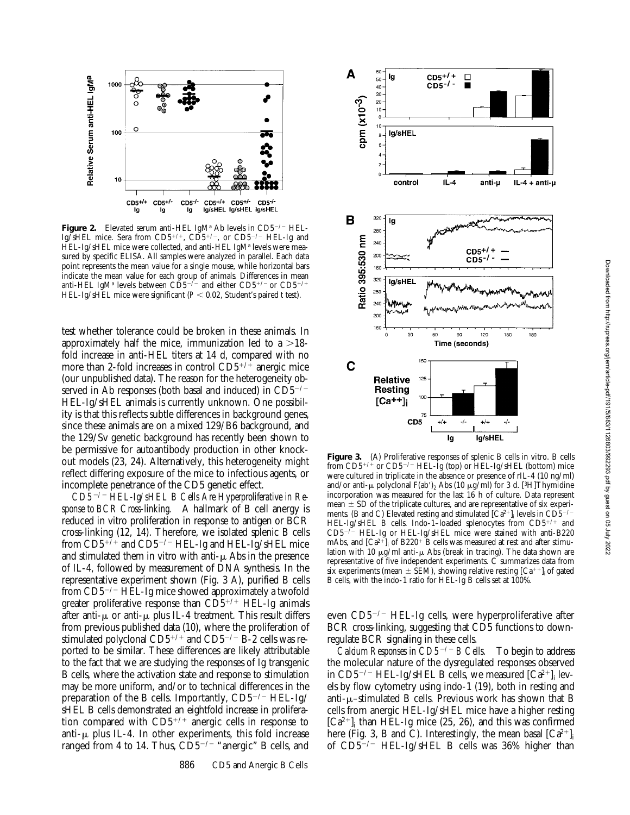

**Figure 2.** Elevated serum anti-HEL IgM<sup>a</sup> Ab levels in CD5<sup>-/-</sup> HEL-Ig/sHEL mice. Sera from CD5<sup>+/+</sup>, CD5<sup>+/-</sup>, or CD5<sup>-/-</sup> HEL-Ig and HEL-Ig/sHEL mice were collected, and anti-HEL IgMª levels were measured by specific ELISA. All samples were analyzed in parallel. Each data point represents the mean value for a single mouse, while horizontal bars indicate the mean value for each group of animals. Differences in mean anti-HEL IgMª levels between CD5<sup>-/-</sup> and either CD5<sup>+/-</sup> or CD5<sup>+/+</sup> HEL-Ig/sHEL mice were significant ( $P < 0.02$ , Student's paired *t* test).

test whether tolerance could be broken in these animals. In approximately half the mice, immunization led to a  $>18$ fold increase in anti-HEL titers at 14 d, compared with no more than 2-fold increases in control  $CD5^{+/+}$  anergic mice (our unpublished data). The reason for the heterogeneity observed in Ab responses (both basal and induced) in  $CD5^{-/-}$ HEL-Ig/sHEL animals is currently unknown. One possibility is that this reflects subtle differences in background genes, since these animals are on a mixed 129/B6 background, and the 129/Sv genetic background has recently been shown to be permissive for autoantibody production in other knockout models (23, 24). Alternatively, this heterogeneity might reflect differing exposure of the mice to infectious agents, or incomplete penetrance of the CD5 genetic effect.

*CD5*2*/*2 *HEL-Ig/sHEL B Cells Are Hyperproliferative in Response to BCR Cross-linking.* A hallmark of B cell anergy is reduced in vitro proliferation in response to antigen or BCR cross-linking (12, 14). Therefore, we isolated splenic B cells from  $CD5^{+/+}$  and  $CD5^{-/-}$  HEL-Ig and HEL-Ig/sHEL mice and stimulated them in vitro with anti- $\mu$  Abs in the presence of IL-4, followed by measurement of DNA synthesis. In the representative experiment shown (Fig. 3 A), purified B cells from CD5<sup>-/-</sup> HEL-Ig mice showed approximately a twofold greater proliferative response than  $CD5^{+/+}$  HEL-Ig animals after anti- $\mu$  or anti- $\mu$  plus IL-4 treatment. This result differs from previous published data (10), where the proliferation of stimulated polyclonal  $CD5^{+/+}$  and  $CD5^{-/-}$  B-2 cells was reported to be similar. These differences are likely attributable to the fact that we are studying the responses of Ig transgenic B cells, where the activation state and response to stimulation may be more uniform, and/or to technical differences in the preparation of the B cells. Importantly,  $CD5^{-/-}$  HEL-Ig/ sHEL B cells demonstrated an eightfold increase in proliferation compared with  $CD5^{+/+}$  anergic cells in response to anti- $\mu$  plus IL-4. In other experiments, this fold increase ranged from 4 to 14. Thus,  $CD5^{-/-}$  "anergic" B cells, and



Figure 3. (A) Proliferative responses of splenic B cells in vitro. B cells from  $CD5^{+/+}$  or  $CD5^{-/-}$  HEL-Ig (top) or HEL-Ig/sHEL (bottom) mice were cultured in triplicate in the absence or presence of rIL-4 (10 ng/ml) and/or anti- $\mu$  polyclonal F(ab')<sub>2</sub> Abs (10  $\mu$ g/ml) for 3 d. [<sup>3</sup>H]Thymidine incorporation was measured for the last 16 h of culture. Data represent mean  $\pm$  SD of the triplicate cultures, and are representative of six experiments. (B and C) Elevated resting and stimulated  $\left[Ca^{2+}\right]_i$  levels in CD5<sup>-/-</sup> HEL-Ig/sHEL B cells. Indo-1–loaded splenocytes from  $CD5^{+/+}$  and  $CD5^{-/-}$  HEL-Ig or HEL-Ig/sHEL mice were stained with anti-B220 HEL-Ig or HEL-Ig/sHEL mice were stained with anti-B220 mAbs, and  $\left[Ca^{2+}\right]_i$  of B220<sup>+</sup> B cells was measured at rest and after stimulation with 10  $\mu$ g/ml anti- $\mu$  Abs (break in tracing). The data shown are representative of five independent experiments. C summarizes data from six experiments (mean  $\pm$  SEM), showing relative resting [Ca<sup>++</sup>]<sub>i</sub> of gated B cells, with the indo-1 ratio for HEL-Ig B cells set at 100%.

even  $CD5^{-/-}$  HEL-Ig cells, were hyperproliferative after BCR cross-linking, suggesting that CD5 functions to downregulate BCR signaling in these cells.

*Calcium Responses in CD5*2*/*2 *B Cells.* To begin to address the molecular nature of the dysregulated responses observed in CD5<sup>-/-</sup> HEL-Ig/sHEL B cells, we measured  $\left[Ca^{2+}\right]_i$  levels by flow cytometry using indo-1 (19), both in resting and anti- $\mu$ –stimulated B cells. Previous work has shown that B cells from anergic HEL-Ig/sHEL mice have a higher resting  $[Ca^{2+}]$ <sub>i</sub> than HEL-Ig mice (25, 26), and this was confirmed here (Fig. 3, B and C). Interestingly, the mean basal  $[Ca^{2+}]$ <sub>i</sub> of  $CD5^{-/-}$  HEL-Ig/sHEL B cells was 36% higher than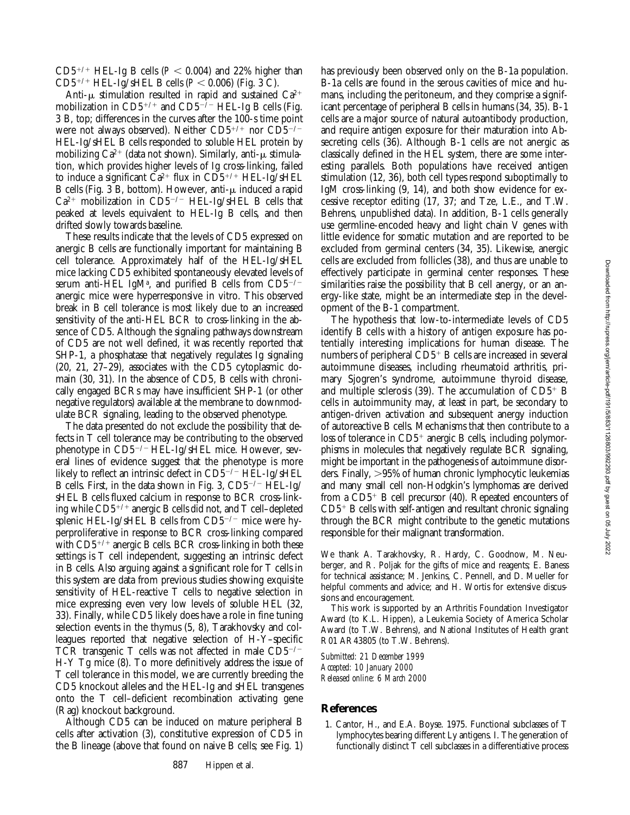CD5<sup>+/+</sup> HEL-Ig B cells ( $P < 0.004$ ) and 22% higher than  $CD5^{+/+}$  HEL-Ig/sHEL B cells ( $P < 0.006$ ) (Fig. 3 C).

Anti- $\mu$  stimulation resulted in rapid and sustained Ca<sup>2+</sup> mobilization in  $CD5^{+/+}$  and  $CD5^{-/-}$  HEL-Ig B cells (Fig. 3 B, top; differences in the curves after the 100-s time point were not always observed). Neither  $CD5^{+/+}$  nor  $CD5^{-/-}$ HEL-Ig/sHEL B cells responded to soluble HEL protein by mobilizing  $Ca^{2+}$  (data not shown). Similarly, anti- $\mu$  stimulation, which provides higher levels of Ig cross-linking, failed to induce a significant  $\bar{C}a^{2+}$  flux in  $CD5^{+/+}$  HEL-Ig/sHEL B cells (Fig. 3 B, bottom). However, anti- $\mu$  induced a rapid  $Ca^{2+}$  mobilization in CD5<sup>-/-</sup> HEL-Ig/sHEL B cells that peaked at levels equivalent to HEL-Ig B cells, and then drifted slowly towards baseline.

These results indicate that the levels of CD5 expressed on anergic B cells are functionally important for maintaining B cell tolerance. Approximately half of the HEL-Ig/sHEL mice lacking CD5 exhibited spontaneously elevated levels of serum anti-HEL IgM<sup>a</sup>, and purified B cells from CD5<sup>-/-</sup> anergic mice were hyperresponsive in vitro. This observed break in B cell tolerance is most likely due to an increased sensitivity of the anti-HEL BCR to cross-linking in the absence of CD5. Although the signaling pathways downstream of CD5 are not well defined, it was recently reported that SHP-1, a phosphatase that negatively regulates Ig signaling (20, 21, 27–29), associates with the CD5 cytoplasmic domain (30, 31). In the absence of CD5, B cells with chronically engaged BCRs may have insufficient SHP-1 (or other negative regulators) available at the membrane to downmodulate BCR signaling, leading to the observed phenotype.

The data presented do not exclude the possibility that defects in T cell tolerance may be contributing to the observed phenotype in  $CD5^{-/-}$  HEL-Ig/sHEL mice. However, several lines of evidence suggest that the phenotype is more likely to reflect an intrinsic defect in  $CD5^{-/-}$  HEL-Ig/sHEL B cells. First, in the data shown in Fig. 3,  $CD5^{-/-}$  HEL-Ig/ sHEL B cells fluxed calcium in response to BCR cross-linking while CD5<sup>+/+</sup> anergic B cells did not, and T cell-depleted splenic HEL-Ig/sHEL B cells from  $CD5^{-/-}$  mice were hyperproliferative in response to BCR cross-linking compared with  $CD5^{+/+}$  anergic B cells. BCR cross-linking in both these settings is T cell independent, suggesting an intrinsic defect in B cells. Also arguing against a significant role for T cells in this system are data from previous studies showing exquisite sensitivity of HEL-reactive T cells to negative selection in mice expressing even very low levels of soluble HEL (32, 33). Finally, while CD5 likely does have a role in fine tuning selection events in the thymus (5, 8), Tarakhovsky and colleagues reported that negative selection of H-Y–specific TCR transgenic T cells was not affected in male  $CD5^{-/-}$ H-Y Tg mice (8). To more definitively address the issue of T cell tolerance in this model, we are currently breeding the CD5 knockout alleles and the HEL-Ig and sHEL transgenes onto the T cell–deficient recombination activating gene (Rag) knockout background.

Although CD5 can be induced on mature peripheral B cells after activation (3), constitutive expression of CD5 in the B lineage (above that found on naive B cells; see Fig. 1)

has previously been observed only on the B-1a population. B-1a cells are found in the serous cavities of mice and humans, including the peritoneum, and they comprise a significant percentage of peripheral B cells in humans (34, 35). B-1 cells are a major source of natural autoantibody production, and require antigen exposure for their maturation into Absecreting cells (36). Although B-1 cells are not anergic as classically defined in the HEL system, there are some interesting parallels. Both populations have received antigen stimulation (12, 36), both cell types respond suboptimally to IgM cross-linking (9, 14), and both show evidence for excessive receptor editing (17, 37; and Tze, L.E., and T.W. Behrens, unpublished data). In addition, B-1 cells generally use germline-encoded heavy and light chain V genes with little evidence for somatic mutation and are reported to be excluded from germinal centers (34, 35). Likewise, anergic cells are excluded from follicles (38), and thus are unable to effectively participate in germinal center responses. These similarities raise the possibility that B cell anergy, or an anergy-like state, might be an intermediate step in the development of the B-1 compartment.

The hypothesis that low-to-intermediate levels of CD5 identify B cells with a history of antigen exposure has potentially interesting implications for human disease. The numbers of peripheral  $CD5<sup>+</sup>$  B cells are increased in several autoimmune diseases, including rheumatoid arthritis, primary Sjogren's syndrome, autoimmune thyroid disease, and multiple sclerosis (39). The accumulation of  $CD5<sup>+</sup>$  B cells in autoimmunity may, at least in part, be secondary to antigen-driven activation and subsequent anergy induction of autoreactive B cells. Mechanisms that then contribute to a loss of tolerance in  $CD5<sup>+</sup>$  anergic B cells, including polymorphisms in molecules that negatively regulate BCR signaling, might be important in the pathogenesis of autoimmune disorders. Finally,  $>95\%$  of human chronic lymphocytic leukemias and many small cell non-Hodgkin's lymphomas are derived from a  $CD5^+$  B cell precursor (40). Repeated encounters of  $CD5<sup>+</sup>$  B cells with self-antigen and resultant chronic signaling through the BCR might contribute to the genetic mutations responsible for their malignant transformation.

We thank A. Tarakhovsky, R. Hardy, C. Goodnow, M. Neuberger, and R. Poljak for the gifts of mice and reagents; E. Baness for technical assistance; M. Jenkins, C. Pennell, and D. Mueller for helpful comments and advice; and H. Wortis for extensive discussions and encouragement.

This work is supported by an Arthritis Foundation Investigator Award (to K.L. Hippen), a Leukemia Society of America Scholar Award (to T.W. Behrens), and National Institutes of Health grant R01 AR43805 (to T.W. Behrens).

*Submitted: 21 December 1999 Accepted: 10 January 2000 Released online: 6 March 2000*

#### **References**

1. Cantor, H., and E.A. Boyse. 1975. Functional subclasses of T lymphocytes bearing different Ly antigens. I. The generation of functionally distinct T cell subclasses in a differentiative process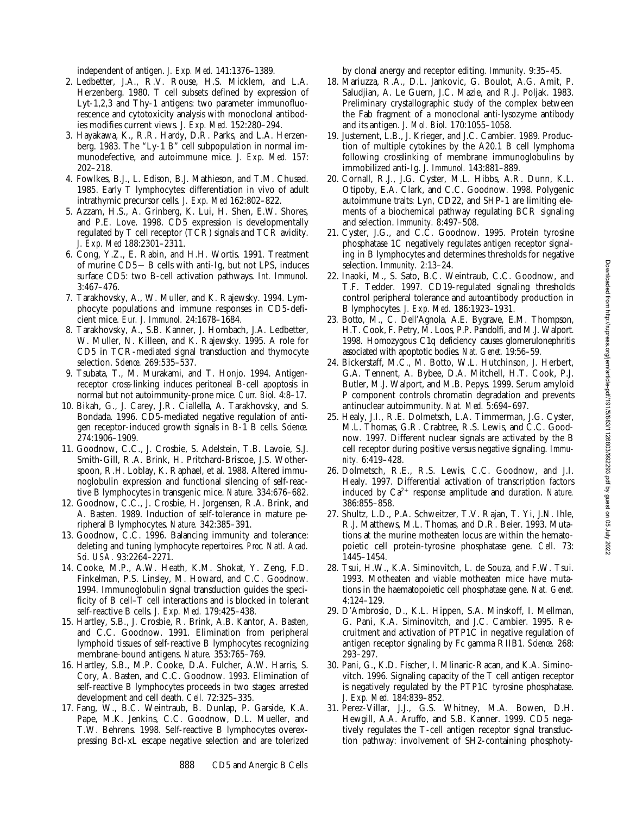independent of antigen. *J. Exp. Med.* 141:1376–1389.

- 2. Ledbetter, J.A., R.V. Rouse, H.S. Micklem, and L.A. Herzenberg. 1980. T cell subsets defined by expression of Lyt-1,2,3 and Thy-1 antigens: two parameter immunofluorescence and cytotoxicity analysis with monoclonal antibodies modifies current views. *J. Exp. Med.* 152:280–294.
- 3. Hayakawa, K., R.R. Hardy, D.R. Parks, and L.A. Herzenberg. 1983. The "Ly-1 B" cell subpopulation in normal immunodefective, and autoimmune mice. *J. Exp. Med.* 157: 202–218.
- 4. Fowlkes, B.J., L. Edison, B.J. Mathieson, and T.M. Chused. 1985. Early T lymphocytes: differentiation in vivo of adult intrathymic precursor cells. *J. Exp. Med* 162:802–822.
- 5. Azzam, H.S., A. Grinberg, K. Lui, H. Shen, E.W. Shores, and P.E. Love. 1998. CD5 expression is developmentally regulated by T cell receptor (TCR) signals and TCR avidity. *J. Exp. Med* 188:2301–2311.
- 6. Cong, Y.Z., E. Rabin, and H.H. Wortis. 1991. Treatment of murine  $CD5 - B$  cells with anti-Ig, but not LPS, induces surface CD5: two B-cell activation pathways. *Int. Immunol.* 3:467–476.
- 7. Tarakhovsky, A., W. Muller, and K. Rajewsky. 1994. Lymphocyte populations and immune responses in CD5-deficient mice. *Eur. J. Immunol.* 24:1678–1684.
- 8. Tarakhovsky, A., S.B. Kanner, J. Hombach, J.A. Ledbetter, W. Muller, N. Killeen, and K. Rajewsky. 1995. A role for CD5 in TCR-mediated signal transduction and thymocyte selection. *Science.* 269:535–537.
- 9. Tsubata, T., M. Murakami, and T. Honjo. 1994. Antigenreceptor cross-linking induces peritoneal B-cell apoptosis in normal but not autoimmunity-prone mice. *Curr. Biol.* 4:8–17.
- 10. Bikah, G., J. Carey, J.R. Ciallella, A. Tarakhovsky, and S. Bondada. 1996. CD5-mediated negative regulation of antigen receptor-induced growth signals in B-1 B cells. *Science.* 274:1906–1909.
- 11. Goodnow, C.C., J. Crosbie, S. Adelstein, T.B. Lavoie, S.J. Smith-Gill, R.A. Brink, H. Pritchard-Briscoe, J.S. Wotherspoon, R.H. Loblay, K. Raphael, et al. 1988. Altered immunoglobulin expression and functional silencing of self-reactive B lymphocytes in transgenic mice. *Nature.* 334:676–682.
- 12. Goodnow, C.C., J. Crosbie, H. Jorgensen, R.A. Brink, and A. Basten. 1989. Induction of self-tolerance in mature peripheral B lymphocytes. *Nature.* 342:385–391.
- 13. Goodnow, C.C. 1996. Balancing immunity and tolerance: deleting and tuning lymphocyte repertoires. *Proc. Natl. Acad. Sci. USA.* 93:2264–2271.
- 14. Cooke, M.P., A.W. Heath, K.M. Shokat, Y. Zeng, F.D. Finkelman, P.S. Linsley, M. Howard, and C.C. Goodnow. 1994. Immunoglobulin signal transduction guides the specificity of B cell–T cell interactions and is blocked in tolerant self-reactive B cells. *J. Exp. Med.* 179:425–438.
- 15. Hartley, S.B., J. Crosbie, R. Brink, A.B. Kantor, A. Basten, and C.C. Goodnow. 1991. Elimination from peripheral lymphoid tissues of self-reactive B lymphocytes recognizing membrane-bound antigens. *Nature.* 353:765–769.
- 16. Hartley, S.B., M.P. Cooke, D.A. Fulcher, A.W. Harris, S. Cory, A. Basten, and C.C. Goodnow. 1993. Elimination of self-reactive B lymphocytes proceeds in two stages: arrested development and cell death. *Cell.* 72:325–335.
- 17. Fang, W., B.C. Weintraub, B. Dunlap, P. Garside, K.A. Pape, M.K. Jenkins, C.C. Goodnow, D.L. Mueller, and T.W. Behrens. 1998. Self-reactive B lymphocytes overexpressing Bcl-xL escape negative selection and are tolerized

by clonal anergy and receptor editing. *Immunity.* 9:35–45.

- 18. Mariuzza, R.A., D.L. Jankovic, G. Boulot, A.G. Amit, P. Saludjian, A. Le Guern, J.C. Mazie, and R.J. Poljak. 1983. Preliminary crystallographic study of the complex between the Fab fragment of a monoclonal anti-lysozyme antibody and its antigen. *J. Mol. Biol.* 170:1055–1058.
- 19. Justement, L.B., J. Krieger, and J.C. Cambier. 1989. Production of multiple cytokines by the A20.1 B cell lymphoma following crosslinking of membrane immunoglobulins by immobilized anti-Ig. *J. Immunol.* 143:881–889.
- 20. Cornall, R.J., J.G. Cyster, M.L. Hibbs, A.R. Dunn, K.L. Otipoby, E.A. Clark, and C.C. Goodnow. 1998. Polygenic autoimmune traits: Lyn, CD22, and SHP-1 are limiting elements of a biochemical pathway regulating BCR signaling and selection. *Immunity.* 8:497–508.
- 21. Cyster, J.G., and C.C. Goodnow. 1995. Protein tyrosine phosphatase 1C negatively regulates antigen receptor signaling in B lymphocytes and determines thresholds for negative selection. *Immunity.* 2:13–24.
- 22. Inaoki, M., S. Sato, B.C. Weintraub, C.C. Goodnow, and T.F. Tedder. 1997. CD19-regulated signaling thresholds control peripheral tolerance and autoantibody production in B lymphocytes. *J. Exp. Med.* 186:1923–1931.
- 23. Botto, M., C. Dell'Agnola, A.E. Bygrave, E.M. Thompson, H.T. Cook, F. Petry, M. Loos, P.P. Pandolfi, and M.J. Walport. 1998. Homozygous C1q deficiency causes glomerulonephritis associated with apoptotic bodies. *Nat. Genet.* 19:56–59.
- 24. Bickerstaff, M.C., M. Botto, W.L. Hutchinson, J. Herbert, G.A. Tennent, A. Bybee, D.A. Mitchell, H.T. Cook, P.J. Butler, M.J. Walport, and M.B. Pepys. 1999. Serum amyloid P component controls chromatin degradation and prevents antinuclear autoimmunity. *Nat. Med.* 5:694–697.
- 25. Healy, J.I., R.E. Dolmetsch, L.A. Timmerman, J.G. Cyster, M.L. Thomas, G.R. Crabtree, R.S. Lewis, and C.C. Goodnow. 1997. Different nuclear signals are activated by the B cell receptor during positive versus negative signaling. *Immunity.* 6:419–428.
- 26. Dolmetsch, R.E., R.S. Lewis, C.C. Goodnow, and J.I. Healy. 1997. Differential activation of transcription factors induced by Ca<sup>2+</sup> response amplitude and duration. Nature. 386:855–858.
- 27. Shultz, L.D., P.A. Schweitzer, T.V. Rajan, T. Yi, J.N. Ihle, R.J. Matthews, M.L. Thomas, and D.R. Beier. 1993. Mutations at the murine motheaten locus are within the hematopoietic cell protein-tyrosine phosphatase gene. *Cell.* 73: 1445–1454.
- 28. Tsui, H.W., K.A. Siminovitch, L. de Souza, and F.W. Tsui. 1993. Motheaten and viable motheaten mice have mutations in the haematopoietic cell phosphatase gene. *Nat. Genet.* 4:124–129.
- 29. D'Ambrosio, D., K.L. Hippen, S.A. Minskoff, I. Mellman, G. Pani, K.A. Siminovitch, and J.C. Cambier. 1995. Recruitment and activation of PTP1C in negative regulation of antigen receptor signaling by Fc gamma RIIB1. *Science.* 268: 293–297.
- 30. Pani, G., K.D. Fischer, I. Mlinaric-Racan, and K.A. Siminovitch. 1996. Signaling capacity of the T cell antigen receptor is negatively regulated by the PTP1C tyrosine phosphatase. *J. Exp. Med.* 184:839–852.
- 31. Perez-Villar, J.J., G.S. Whitney, M.A. Bowen, D.H. Hewgill, A.A. Aruffo, and S.B. Kanner. 1999. CD5 negatively regulates the T-cell antigen receptor signal transduction pathway: involvement of SH2-containing phosphoty-